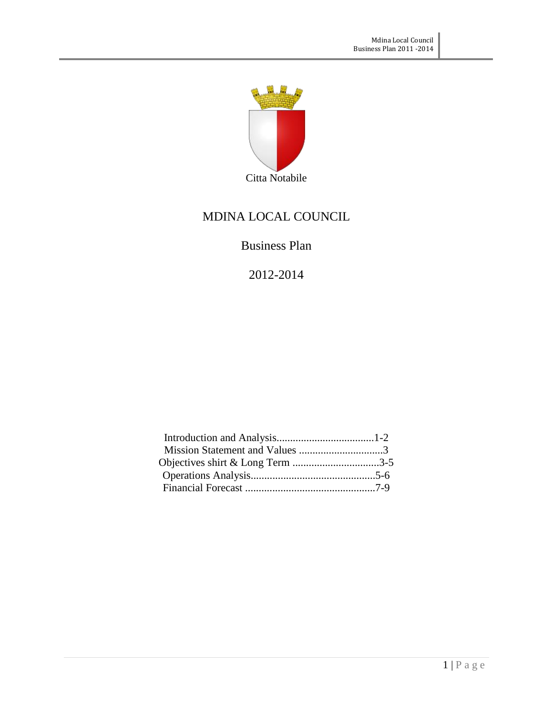

## MDINA LOCAL COUNCIL

## Business Plan

2012-2014

| Mission Statement and Values 3   |  |
|----------------------------------|--|
| Objectives shirt & Long Term 3-5 |  |
|                                  |  |
|                                  |  |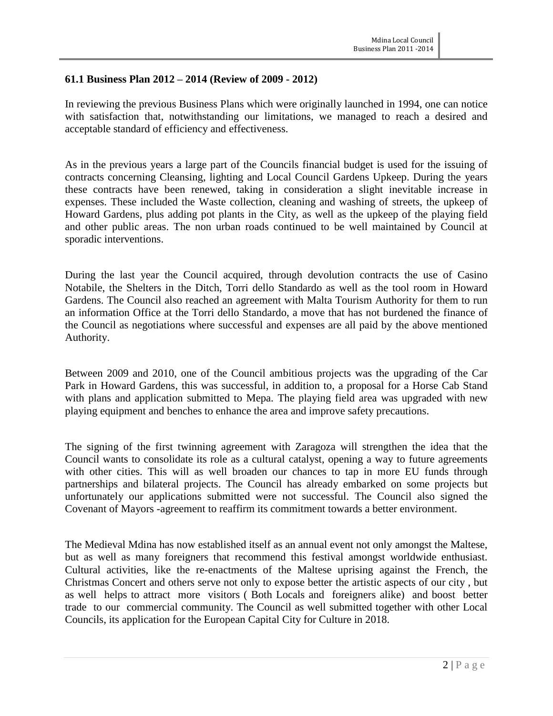#### **61.1 Business Plan 2012 – 2014 (Review of 2009 - 2012)**

In reviewing the previous Business Plans which were originally launched in 1994, one can notice with satisfaction that, notwithstanding our limitations, we managed to reach a desired and acceptable standard of efficiency and effectiveness.

As in the previous years a large part of the Councils financial budget is used for the issuing of contracts concerning Cleansing, lighting and Local Council Gardens Upkeep. During the years these contracts have been renewed, taking in consideration a slight inevitable increase in expenses. These included the Waste collection, cleaning and washing of streets, the upkeep of Howard Gardens, plus adding pot plants in the City, as well as the upkeep of the playing field and other public areas. The non urban roads continued to be well maintained by Council at sporadic interventions.

During the last year the Council acquired, through devolution contracts the use of Casino Notabile, the Shelters in the Ditch, Torri dello Standardo as well as the tool room in Howard Gardens. The Council also reached an agreement with Malta Tourism Authority for them to run an information Office at the Torri dello Standardo, a move that has not burdened the finance of the Council as negotiations where successful and expenses are all paid by the above mentioned Authority.

Between 2009 and 2010, one of the Council ambitious projects was the upgrading of the Car Park in Howard Gardens, this was successful, in addition to, a proposal for a Horse Cab Stand with plans and application submitted to Mepa. The playing field area was upgraded with new playing equipment and benches to enhance the area and improve safety precautions.

The signing of the first twinning agreement with Zaragoza will strengthen the idea that the Council wants to consolidate its role as a cultural catalyst, opening a way to future agreements with other cities. This will as well broaden our chances to tap in more EU funds through partnerships and bilateral projects. The Council has already embarked on some projects but unfortunately our applications submitted were not successful. The Council also signed the Covenant of Mayors -agreement to reaffirm its commitment towards a better environment.

The Medieval Mdina has now established itself as an annual event not only amongst the Maltese, but as well as many foreigners that recommend this festival amongst worldwide enthusiast. Cultural activities, like the re-enactments of the Maltese uprising against the French, the Christmas Concert and others serve not only to expose better the artistic aspects of our city , but as well helps to attract more visitors ( Both Locals and foreigners alike) and boost better trade to our commercial community. The Council as well submitted together with other Local Councils, its application for the European Capital City for Culture in 2018.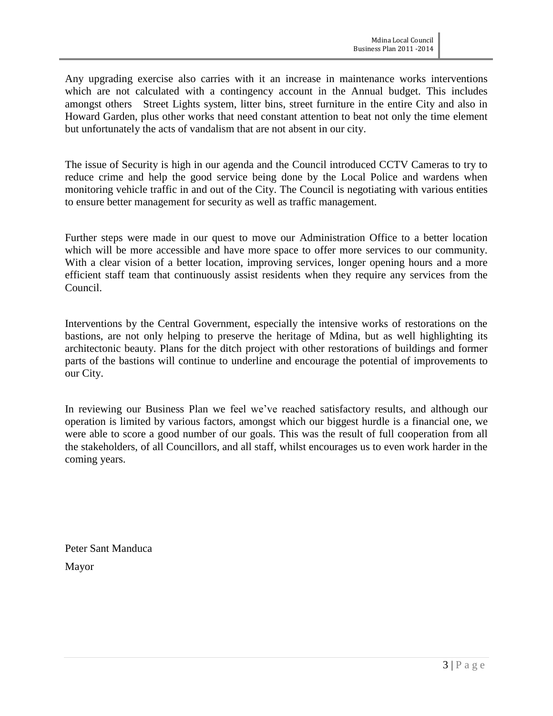Any upgrading exercise also carries with it an increase in maintenance works interventions which are not calculated with a contingency account in the Annual budget. This includes amongst others Street Lights system, litter bins, street furniture in the entire City and also in Howard Garden, plus other works that need constant attention to beat not only the time element but unfortunately the acts of vandalism that are not absent in our city.

The issue of Security is high in our agenda and the Council introduced CCTV Cameras to try to reduce crime and help the good service being done by the Local Police and wardens when monitoring vehicle traffic in and out of the City. The Council is negotiating with various entities to ensure better management for security as well as traffic management.

Further steps were made in our quest to move our Administration Office to a better location which will be more accessible and have more space to offer more services to our community. With a clear vision of a better location, improving services, longer opening hours and a more efficient staff team that continuously assist residents when they require any services from the Council.

Interventions by the Central Government, especially the intensive works of restorations on the bastions, are not only helping to preserve the heritage of Mdina, but as well highlighting its architectonic beauty. Plans for the ditch project with other restorations of buildings and former parts of the bastions will continue to underline and encourage the potential of improvements to our City.

In reviewing our Business Plan we feel we've reached satisfactory results, and although our operation is limited by various factors, amongst which our biggest hurdle is a financial one, we were able to score a good number of our goals. This was the result of full cooperation from all the stakeholders, of all Councillors, and all staff, whilst encourages us to even work harder in the coming years.

Peter Sant Manduca Mayor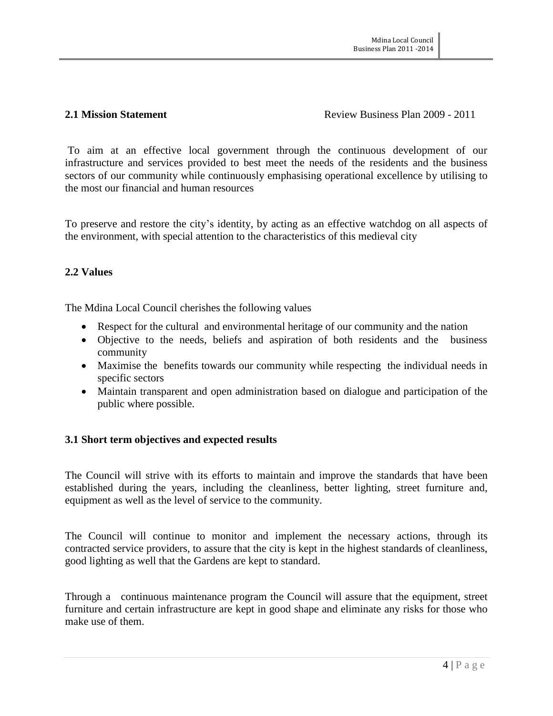#### **2.1 Mission Statement Review Business Plan 2009 - 2011**

To aim at an effective local government through the continuous development of our infrastructure and services provided to best meet the needs of the residents and the business sectors of our community while continuously emphasising operational excellence by utilising to the most our financial and human resources

To preserve and restore the city's identity, by acting as an effective watchdog on all aspects of the environment, with special attention to the characteristics of this medieval city

### **2.2 Values**

The Mdina Local Council cherishes the following values

- Respect for the cultural and environmental heritage of our community and the nation
- Objective to the needs, beliefs and aspiration of both residents and the business community
- Maximise the benefits towards our community while respecting the individual needs in specific sectors
- Maintain transparent and open administration based on dialogue and participation of the public where possible.

### **3.1 Short term objectives and expected results**

The Council will strive with its efforts to maintain and improve the standards that have been established during the years, including the cleanliness, better lighting, street furniture and, equipment as well as the level of service to the community.

The Council will continue to monitor and implement the necessary actions, through its contracted service providers, to assure that the city is kept in the highest standards of cleanliness, good lighting as well that the Gardens are kept to standard.

Through a continuous maintenance program the Council will assure that the equipment, street furniture and certain infrastructure are kept in good shape and eliminate any risks for those who make use of them.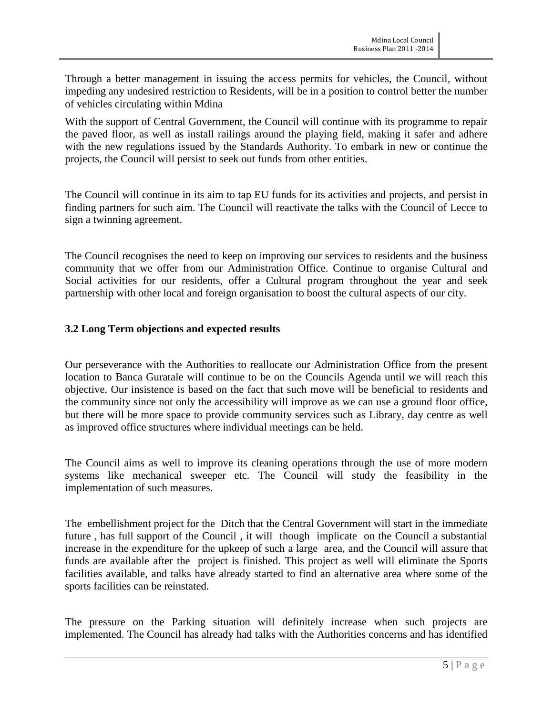Through a better management in issuing the access permits for vehicles, the Council, without impeding any undesired restriction to Residents, will be in a position to control better the number of vehicles circulating within Mdina

With the support of Central Government, the Council will continue with its programme to repair the paved floor, as well as install railings around the playing field, making it safer and adhere with the new regulations issued by the Standards Authority. To embark in new or continue the projects, the Council will persist to seek out funds from other entities.

The Council will continue in its aim to tap EU funds for its activities and projects, and persist in finding partners for such aim. The Council will reactivate the talks with the Council of Lecce to sign a twinning agreement.

The Council recognises the need to keep on improving our services to residents and the business community that we offer from our Administration Office. Continue to organise Cultural and Social activities for our residents, offer a Cultural program throughout the year and seek partnership with other local and foreign organisation to boost the cultural aspects of our city.

#### **3.2 Long Term objections and expected results**

Our perseverance with the Authorities to reallocate our Administration Office from the present location to Banca Guratale will continue to be on the Councils Agenda until we will reach this objective. Our insistence is based on the fact that such move will be beneficial to residents and the community since not only the accessibility will improve as we can use a ground floor office, but there will be more space to provide community services such as Library, day centre as well as improved office structures where individual meetings can be held.

The Council aims as well to improve its cleaning operations through the use of more modern systems like mechanical sweeper etc. The Council will study the feasibility in the implementation of such measures.

The embellishment project for the Ditch that the Central Government will start in the immediate future , has full support of the Council , it will though implicate on the Council a substantial increase in the expenditure for the upkeep of such a large area, and the Council will assure that funds are available after the project is finished. This project as well will eliminate the Sports facilities available, and talks have already started to find an alternative area where some of the sports facilities can be reinstated.

The pressure on the Parking situation will definitely increase when such projects are implemented. The Council has already had talks with the Authorities concerns and has identified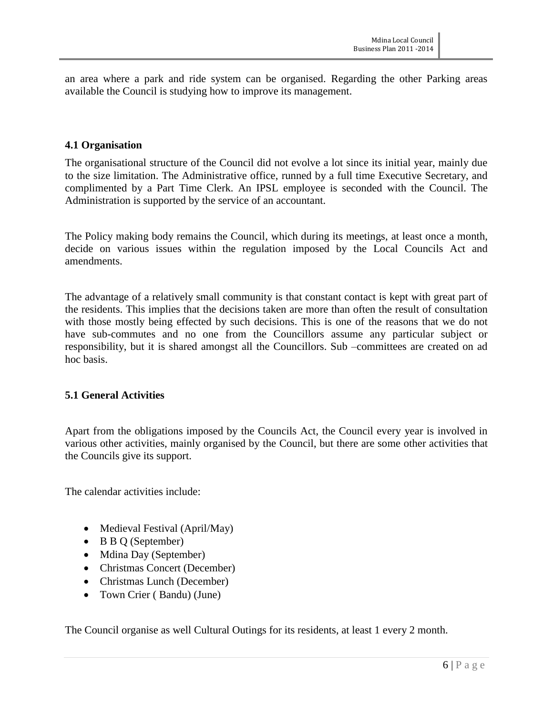an area where a park and ride system can be organised. Regarding the other Parking areas available the Council is studying how to improve its management.

#### **4.1 Organisation**

The organisational structure of the Council did not evolve a lot since its initial year, mainly due to the size limitation. The Administrative office, runned by a full time Executive Secretary, and complimented by a Part Time Clerk. An IPSL employee is seconded with the Council. The Administration is supported by the service of an accountant.

The Policy making body remains the Council, which during its meetings, at least once a month, decide on various issues within the regulation imposed by the Local Councils Act and amendments.

The advantage of a relatively small community is that constant contact is kept with great part of the residents. This implies that the decisions taken are more than often the result of consultation with those mostly being effected by such decisions. This is one of the reasons that we do not have sub-commutes and no one from the Councillors assume any particular subject or responsibility, but it is shared amongst all the Councillors. Sub –committees are created on ad hoc basis.

#### **5.1 General Activities**

Apart from the obligations imposed by the Councils Act, the Council every year is involved in various other activities, mainly organised by the Council, but there are some other activities that the Councils give its support.

The calendar activities include:

- Medieval Festival (April/May)
- B B Q (September)
- Mdina Day (September)
- Christmas Concert (December)
- Christmas Lunch (December)
- Town Crier (Bandu) (June)

The Council organise as well Cultural Outings for its residents, at least 1 every 2 month.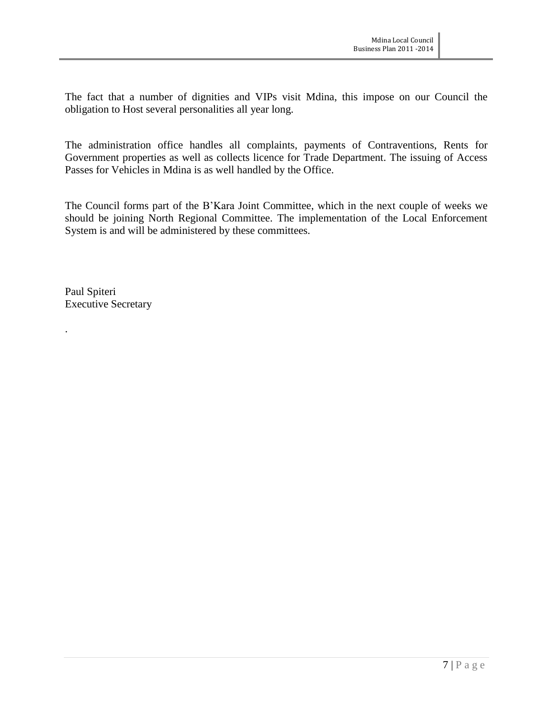The fact that a number of dignities and VIPs visit Mdina, this impose on our Council the obligation to Host several personalities all year long.

The administration office handles all complaints, payments of Contraventions, Rents for Government properties as well as collects licence for Trade Department. The issuing of Access Passes for Vehicles in Mdina is as well handled by the Office.

The Council forms part of the B'Kara Joint Committee, which in the next couple of weeks we should be joining North Regional Committee. The implementation of the Local Enforcement System is and will be administered by these committees.

Paul Spiteri Executive Secretary

.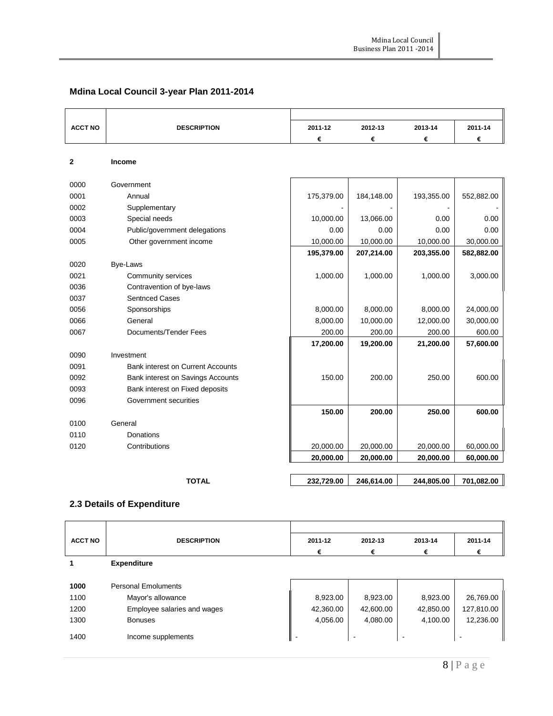# **Mdina Local Council 3-year Plan 2011-2014**

| <b>ACCT NO</b> | <b>DESCRIPTION</b>                       | 2011-12    | 2012-13    | 2013-14    | 2011-14    |
|----------------|------------------------------------------|------------|------------|------------|------------|
|                |                                          | €          | €          | €          | €          |
| $\mathbf{2}$   | <b>Income</b>                            |            |            |            |            |
|                |                                          |            |            |            |            |
| 0000           | Government                               |            |            |            |            |
| 0001           | Annual                                   | 175,379.00 | 184,148.00 | 193,355.00 | 552,882.00 |
| 0002           | Supplementary                            |            |            |            |            |
| 0003           | Special needs                            | 10,000.00  | 13,066.00  | 0.00       | 0.00       |
| 0004           | Public/government delegations            | 0.00       | 0.00       | 0.00       | 0.00       |
| 0005           | Other government income                  | 10,000.00  | 10,000.00  | 10,000.00  | 30,000.00  |
|                |                                          | 195,379.00 | 207,214.00 | 203,355.00 | 582,882.00 |
| 0020           | Bye-Laws                                 |            |            |            |            |
| 0021           | Community services                       | 1,000.00   | 1,000.00   | 1,000.00   | 3,000.00   |
| 0036           | Contravention of bye-laws                |            |            |            |            |
| 0037           | <b>Sentnced Cases</b>                    |            |            |            |            |
| 0056           | Sponsorships                             | 8,000.00   | 8,000.00   | 8,000.00   | 24,000.00  |
| 0066           | General                                  | 8,000.00   | 10,000.00  | 12,000.00  | 30,000.00  |
| 0067           | Documents/Tender Fees                    | 200.00     | 200.00     | 200.00     | 600.00     |
|                |                                          | 17,200.00  | 19,200.00  | 21,200.00  | 57,600.00  |
| 0090           | Investment                               |            |            |            |            |
| 0091           | <b>Bank interest on Current Accounts</b> |            |            |            |            |
| 0092           | Bank interest on Savings Accounts        | 150.00     | 200.00     | 250.00     | 600.00     |
| 0093           | Bank interest on Fixed deposits          |            |            |            |            |
| 0096           | Government securities                    |            |            |            |            |
|                |                                          | 150.00     | 200.00     | 250.00     | 600.00     |
| 0100           | General                                  |            |            |            |            |
| 0110           | Donations                                |            |            |            |            |
| 0120           | Contributions                            | 20,000.00  | 20,000.00  | 20,000.00  | 60,000.00  |
|                |                                          | 20,000.00  | 20,000.00  | 20,000.00  | 60,000.00  |
|                |                                          |            |            |            |            |
|                | <b>TOTAL</b>                             | 232,729.00 | 246,614.00 | 244,805.00 | 701,082.00 |

### **2.3 Details of Expenditure**

| <b>ACCT NO</b> | <b>DESCRIPTION</b>          | 2011-12   | 2012-13                  | 2013-14   | 2011-14                  |
|----------------|-----------------------------|-----------|--------------------------|-----------|--------------------------|
|                |                             | €         | €                        | €         | €                        |
|                | <b>Expenditure</b>          |           |                          |           |                          |
|                |                             |           |                          |           |                          |
| 1000           | <b>Personal Emoluments</b>  |           |                          |           |                          |
| 1100           | Mayor's allowance           | 8,923.00  | 8,923.00                 | 8,923.00  | 26,769.00                |
| 1200           | Employee salaries and wages | 42,360.00 | 42,600.00                | 42,850.00 | 127,810.00               |
| 1300           | <b>Bonuses</b>              | 4,056.00  | 4,080.00                 | 4,100.00  | 12,236.00                |
| 1400           | Income supplements          | -         | $\overline{\phantom{a}}$ |           | $\overline{\phantom{a}}$ |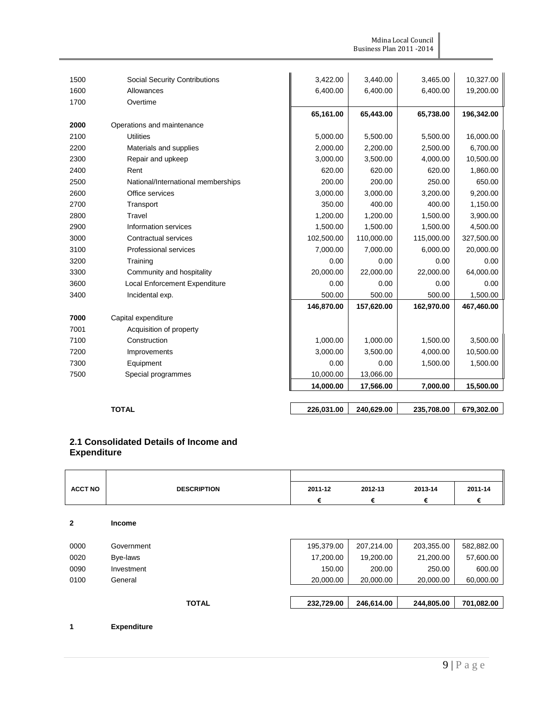Mdina Local Council Business Plan 2011 -2014

| 1500 | Social Security Contributions        | 3,422.00   | 3,440.00   | 3,465.00   | 10,327.00  |
|------|--------------------------------------|------------|------------|------------|------------|
| 1600 | Allowances                           | 6,400.00   | 6,400.00   | 6,400.00   | 19,200.00  |
| 1700 | Overtime                             |            |            |            |            |
|      |                                      | 65,161.00  | 65,443.00  | 65,738.00  | 196,342.00 |
| 2000 | Operations and maintenance           |            |            |            |            |
| 2100 | <b>Utilities</b>                     | 5,000.00   | 5,500.00   | 5,500.00   | 16,000.00  |
| 2200 | Materials and supplies               | 2,000.00   | 2,200.00   | 2,500.00   | 6,700.00   |
| 2300 | Repair and upkeep                    | 3,000.00   | 3,500.00   | 4,000.00   | 10,500.00  |
| 2400 | Rent                                 | 620.00     | 620.00     | 620.00     | 1,860.00   |
| 2500 | National/International memberships   | 200.00     | 200.00     | 250.00     | 650.00     |
| 2600 | Office services                      | 3,000.00   | 3,000.00   | 3,200.00   | 9,200.00   |
| 2700 | Transport                            | 350.00     | 400.00     | 400.00     | 1,150.00   |
| 2800 | Travel                               | 1,200.00   | 1,200.00   | 1,500.00   | 3,900.00   |
| 2900 | Information services                 | 1,500.00   | 1,500.00   | 1,500.00   | 4,500.00   |
| 3000 | Contractual services                 | 102,500.00 | 110,000.00 | 115,000.00 | 327,500.00 |
| 3100 | <b>Professional services</b>         | 7,000.00   | 7,000.00   | 6,000.00   | 20,000.00  |
| 3200 | Training                             | 0.00       | 0.00       | 0.00       | 0.00       |
| 3300 | Community and hospitality            | 20,000.00  | 22,000.00  | 22,000.00  | 64,000.00  |
| 3600 | <b>Local Enforcement Expenditure</b> | 0.00       | 0.00       | 0.00       | 0.00       |
| 3400 | Incidental exp.                      | 500.00     | 500.00     | 500.00     | 1,500.00   |
|      |                                      | 146,870.00 | 157,620.00 | 162,970.00 | 467,460.00 |
| 7000 | Capital expenditure                  |            |            |            |            |
| 7001 | Acquisition of property              |            |            |            |            |
| 7100 | Construction                         | 1,000.00   | 1,000.00   | 1,500.00   | 3,500.00   |
| 7200 | Improvements                         | 3,000.00   | 3,500.00   | 4,000.00   | 10,500.00  |
| 7300 | Equipment                            | 0.00       | 0.00       | 1,500.00   | 1,500.00   |
| 7500 | Special programmes                   | 10,000.00  | 13,066.00  |            |            |
|      |                                      | 14,000.00  | 17,566.00  | 7,000.00   | 15,500.00  |

**TOTAL 226,031.00 240,629.00 235,708.00 679,302.00** 

#### **2.1 Consolidated Details of Income and Expenditure**

| <b>ACCT NO</b> | <b>DESCRIPTION</b> | 2011-12    | 2012-13    | 2013-14    | 2011-14    |
|----------------|--------------------|------------|------------|------------|------------|
|                |                    | €          | €          | €          | €          |
| $\overline{2}$ | <b>Income</b>      |            |            |            |            |
| 0000           | Government         | 195,379.00 | 207,214.00 | 203,355.00 | 582,882.00 |
| 0020           | Bye-laws           | 17,200.00  | 19,200.00  | 21,200.00  | 57,600.00  |
| 0090           | Investment         | 150.00     | 200.00     | 250.00     | 600.00     |
| 0100           | General            | 20,000.00  | 20,000.00  | 20,000.00  | 60,000.00  |
|                |                    |            |            |            |            |
|                | <b>TOTAL</b>       | 232,729.00 | 246,614.00 | 244,805.00 | 701,082.00 |
|                |                    |            |            |            |            |

**1 Expenditure**